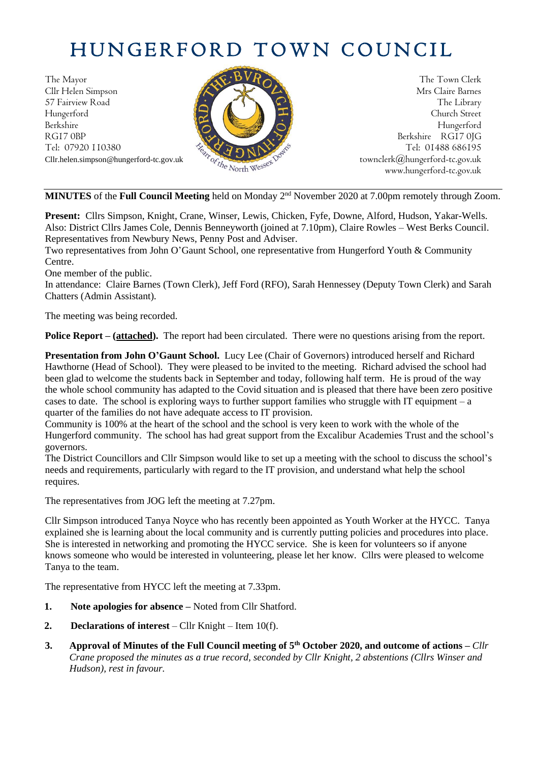# HUNGERFORD TOWN COUNCIL

The Mayor The Town Clerk  $\mathcal{L}$   $\mathcal{L}$   $\mathcal{L}$   $\mathcal{L}$   $\mathcal{L}$   $\mathcal{L}$   $\mathcal{L}$   $\mathcal{L}$   $\mathcal{L}$   $\mathcal{L}$   $\mathcal{L}$   $\mathcal{L}$   $\mathcal{L}$   $\mathcal{L}$   $\mathcal{L}$   $\mathcal{L}$   $\mathcal{L}$   $\mathcal{L}$   $\mathcal{L}$   $\mathcal{L}$   $\mathcal{L}$   $\mathcal{L}$ Cllr Helen Simpson Mrs Claire Barnes 57 Fairview Road The Library<br>Hungerford Church Street Hungerford Church Street Berkshire Hungerford RG17 0BP Berkshire RG17 0JG Cllr.helen.simpson@hungerford-tc.gov.uk [townclerk@hungerford-tc.gov.uk](mailto:townclerk@hungerford-tc.gov.uk)



Tel: 07920 110380 Tel: 01488 686195<br>Clir.helen.simpson@hungerford-tc.gov.uk<br>www.hungerford-tc.gov.uk<br>www.hungerford-tc.gov.uk<br>www.hungerford-tc.gov.uk www.hungerford-tc.gov.uk

MINUTES of the Full Council Meeting held on Monday 2<sup>nd</sup> November 2020 at 7.00pm remotely through Zoom.

**Present:** Cllrs Simpson, Knight, Crane, Winser, Lewis, Chicken, Fyfe, Downe, Alford, Hudson, Yakar-Wells. Also: District Cllrs James Cole, Dennis Benneyworth (joined at 7.10pm), Claire Rowles – West Berks Council. Representatives from Newbury News, Penny Post and Adviser.

Two representatives from John O'Gaunt School, one representative from Hungerford Youth & Community Centre.

One member of the public.

In attendance: Claire Barnes (Town Clerk), Jeff Ford (RFO), Sarah Hennessey (Deputy Town Clerk) and Sarah Chatters (Admin Assistant).

The meeting was being recorded.

**Police Report – (attached).** The report had been circulated. There were no questions arising from the report.

**Presentation from John O'Gaunt School.** Lucy Lee (Chair of Governors) introduced herself and Richard Hawthorne (Head of School). They were pleased to be invited to the meeting. Richard advised the school had been glad to welcome the students back in September and today, following half term. He is proud of the way the whole school community has adapted to the Covid situation and is pleased that there have been zero positive cases to date. The school is exploring ways to further support families who struggle with IT equipment  $-a$ quarter of the families do not have adequate access to IT provision.

Community is 100% at the heart of the school and the school is very keen to work with the whole of the Hungerford community. The school has had great support from the Excalibur Academies Trust and the school's governors.

The District Councillors and Cllr Simpson would like to set up a meeting with the school to discuss the school's needs and requirements, particularly with regard to the IT provision, and understand what help the school requires.

The representatives from JOG left the meeting at 7.27pm.

Cllr Simpson introduced Tanya Noyce who has recently been appointed as Youth Worker at the HYCC. Tanya explained she is learning about the local community and is currently putting policies and procedures into place. She is interested in networking and promoting the HYCC service. She is keen for volunteers so if anyone knows someone who would be interested in volunteering, please let her know. Cllrs were pleased to welcome Tanya to the team.

The representative from HYCC left the meeting at 7.33pm.

- **1. Note apologies for absence –** Noted from Cllr Shatford.
- **2. Declarations of interest** Cllr Knight Item 10(f).
- **3. Approval of Minutes of the Full Council meeting of 5 th October 2020, and outcome of actions –** *Cllr Crane proposed the minutes as a true record, seconded by Cllr Knight, 2 abstentions (Cllrs Winser and Hudson), rest in favour.*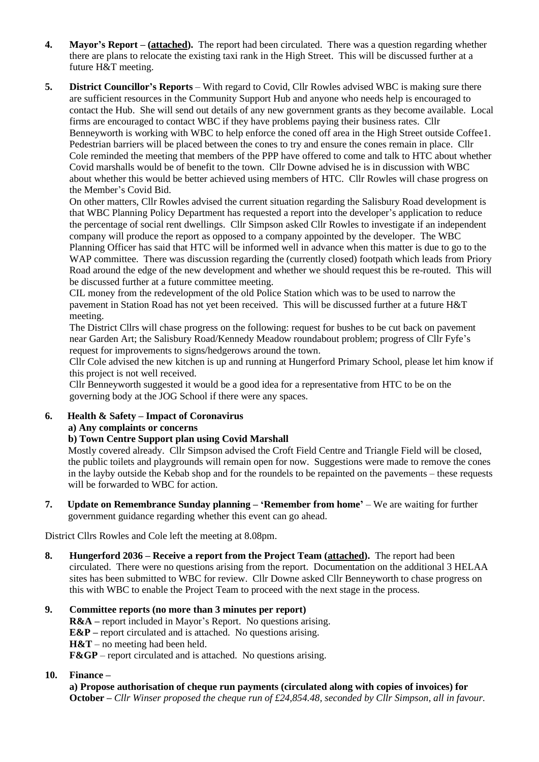- **4. Mayor's Report – (attached).** The report had been circulated. There was a question regarding whether there are plans to relocate the existing taxi rank in the High Street. This will be discussed further at a future H&T meeting.
- **5. District Councillor's Reports** With regard to Covid, Cllr Rowles advised WBC is making sure there are sufficient resources in the Community Support Hub and anyone who needs help is encouraged to contact the Hub. She will send out details of any new government grants as they become available. Local firms are encouraged to contact WBC if they have problems paying their business rates. Cllr Benneyworth is working with WBC to help enforce the coned off area in the High Street outside Coffee1. Pedestrian barriers will be placed between the cones to try and ensure the cones remain in place. Cllr Cole reminded the meeting that members of the PPP have offered to come and talk to HTC about whether Covid marshalls would be of benefit to the town. Cllr Downe advised he is in discussion with WBC about whether this would be better achieved using members of HTC. Cllr Rowles will chase progress on the Member's Covid Bid.

On other matters, Cllr Rowles advised the current situation regarding the Salisbury Road development is that WBC Planning Policy Department has requested a report into the developer's application to reduce the percentage of social rent dwellings. Cllr Simpson asked Cllr Rowles to investigate if an independent company will produce the report as opposed to a company appointed by the developer. The WBC Planning Officer has said that HTC will be informed well in advance when this matter is due to go to the WAP committee. There was discussion regarding the (currently closed) footpath which leads from Priory Road around the edge of the new development and whether we should request this be re-routed. This will be discussed further at a future committee meeting.

CIL money from the redevelopment of the old Police Station which was to be used to narrow the pavement in Station Road has not yet been received. This will be discussed further at a future H&T meeting.

The District Cllrs will chase progress on the following: request for bushes to be cut back on pavement near Garden Art; the Salisbury Road/Kennedy Meadow roundabout problem; progress of Cllr Fyfe's request for improvements to signs/hedgerows around the town.

Cllr Cole advised the new kitchen is up and running at Hungerford Primary School, please let him know if this project is not well received.

Cllr Benneyworth suggested it would be a good idea for a representative from HTC to be on the governing body at the JOG School if there were any spaces.

#### **6. Health & Safety – Impact of Coronavirus**

#### **a) Any complaints or concerns**

#### **b) Town Centre Support plan using Covid Marshall**

Mostly covered already. Cllr Simpson advised the Croft Field Centre and Triangle Field will be closed, the public toilets and playgrounds will remain open for now. Suggestions were made to remove the cones in the layby outside the Kebab shop and for the roundels to be repainted on the pavements – these requests will be forwarded to WBC for action.

**7. Update on Remembrance Sunday planning – 'Remember from home'** – We are waiting for further government guidance regarding whether this event can go ahead.

District Cllrs Rowles and Cole left the meeting at 8.08pm.

- **8. Hungerford 2036 – Receive a report from the Project Team (attached).** The report had been circulated. There were no questions arising from the report. Documentation on the additional 3 HELAA sites has been submitted to WBC for review. Cllr Downe asked Cllr Benneyworth to chase progress on this with WBC to enable the Project Team to proceed with the next stage in the process.
- **9. Committee reports (no more than 3 minutes per report) R&A –** report included in Mayor's Report. No questions arising. **E&P –** report circulated and is attached. No questions arising. **H&T** – no meeting had been held. **F&GP** – report circulated and is attached. No questions arising.

#### **10. Finance –**

**a) Propose authorisation of cheque run payments (circulated along with copies of invoices) for October –** *Cllr Winser proposed the cheque run of £24,854.48, seconded by Cllr Simpson, all in favour.*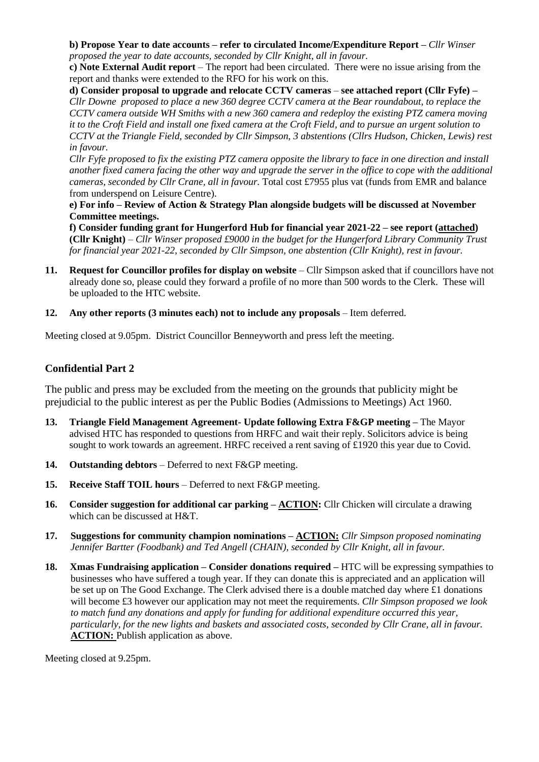#### **b) Propose Year to date accounts – refer to circulated Income/Expenditure Report –** *Cllr Winser proposed the year to date accounts, seconded by Cllr Knight, all in favour.*

**c) Note External Audit report** – The report had been circulated. There were no issue arising from the report and thanks were extended to the RFO for his work on this.

**d) Consider proposal to upgrade and relocate CCTV cameras** *–* **see attached report (Cllr Fyfe) –** *Cllr Downe proposed to place a new 360 degree CCTV camera at the Bear roundabout, to replace the CCTV camera outside WH Smiths with a new 360 camera and redeploy the existing PTZ camera moving it to the Croft Field and install one fixed camera at the Croft Field, and to pursue an urgent solution to CCTV at the Triangle Field, seconded by Cllr Simpson, 3 abstentions (Cllrs Hudson, Chicken, Lewis) rest in favour.* 

*Cllr Fyfe proposed to fix the existing PTZ camera opposite the library to face in one direction and install another fixed camera facing the other way and upgrade the server in the office to cope with the additional cameras, seconded by Cllr Crane, all in favour.* Total cost £7955 plus vat (funds from EMR and balance from underspend on Leisure Centre).

**e) For info – Review of Action & Strategy Plan alongside budgets will be discussed at November Committee meetings.**

**f) Consider funding grant for Hungerford Hub for financial year 2021-22 – see report (attached) (Cllr Knight)** – *Cllr Winser proposed £9000 in the budget for the Hungerford Library Community Trust for financial year 2021-22, seconded by Cllr Simpson, one abstention (Cllr Knight), rest in favour.*

- **11. Request for Councillor profiles for display on website** Cllr Simpson asked that if councillors have not already done so, please could they forward a profile of no more than 500 words to the Clerk. These will be uploaded to the HTC website.
- **12. Any other reports (3 minutes each) not to include any proposals** Item deferred.

Meeting closed at 9.05pm. District Councillor Benneyworth and press left the meeting.

# **Confidential Part 2**

The public and press may be excluded from the meeting on the grounds that publicity might be prejudicial to the public interest as per the Public Bodies (Admissions to Meetings) Act 1960.

- **13. Triangle Field Management Agreement- Update following Extra F&GP meeting –** The Mayor advised HTC has responded to questions from HRFC and wait their reply. Solicitors advice is being sought to work towards an agreement. HRFC received a rent saving of £1920 this year due to Covid.
- **14. Outstanding debtors** Deferred to next F&GP meeting.
- **15. Receive Staff TOIL hours** Deferred to next F&GP meeting.
- **16. Consider suggestion for additional car parking – ACTION:** Cllr Chicken will circulate a drawing which can be discussed at H&T.
- **17. Suggestions for community champion nominations – ACTION:** *Cllr Simpson proposed nominating Jennifer Bartter (Foodbank) and Ted Angell (CHAIN), seconded by Cllr Knight, all in favour.*
- **18. Xmas Fundraising application – Consider donations required –** HTC will be expressing sympathies to businesses who have suffered a tough year. If they can donate this is appreciated and an application will be set up on The Good Exchange. The Clerk advised there is a double matched day where £1 donations will become £3 however our application may not meet the requirements. *Cllr Simpson proposed we look to match fund any donations and apply for funding for additional expenditure occurred this year, particularly, for the new lights and baskets and associated costs, seconded by Cllr Crane, all in favour.* **ACTION:** Publish application as above.

Meeting closed at 9.25pm.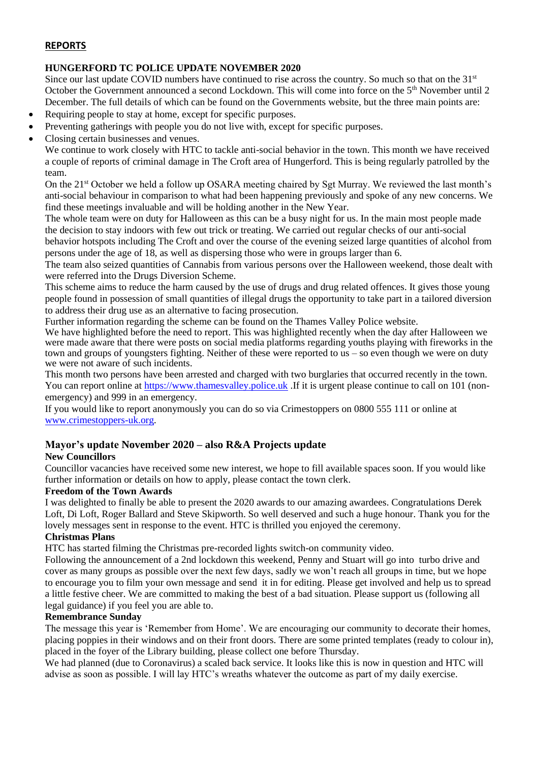# **REPORTS**

# **HUNGERFORD TC POLICE UPDATE NOVEMBER 2020**

Since our last update COVID numbers have continued to rise across the country. So much so that on the 31<sup>st</sup> October the Government announced a second Lockdown. This will come into force on the 5<sup>th</sup> November until 2 December. The full details of which can be found on the Governments website, but the three main points are:

- Requiring people to stay at home, except for specific purposes.
- Preventing gatherings with people you do not live with, except for specific purposes.
- Closing certain businesses and venues.

We continue to work closely with HTC to tackle anti-social behavior in the town. This month we have received a couple of reports of criminal damage in The Croft area of Hungerford. This is being regularly patrolled by the team.

On the 21<sup>st</sup> October we held a follow up OSARA meeting chaired by Sgt Murray. We reviewed the last month's anti-social behaviour in comparison to what had been happening previously and spoke of any new concerns. We find these meetings invaluable and will be holding another in the New Year.

The whole team were on duty for Halloween as this can be a busy night for us. In the main most people made the decision to stay indoors with few out trick or treating. We carried out regular checks of our anti-social

behavior hotspots including The Croft and over the course of the evening seized large quantities of alcohol from persons under the age of 18, as well as dispersing those who were in groups larger than 6.

The team also seized quantities of Cannabis from various persons over the Halloween weekend, those dealt with were referred into the Drugs Diversion Scheme.

This scheme aims to reduce the harm caused by the use of drugs and drug related offences. It gives those young people found in possession of small quantities of illegal drugs the opportunity to take part in a tailored diversion to address their drug use as an alternative to facing prosecution.

Further information regarding the scheme can be found on the Thames Valley Police website.

We have highlighted before the need to report. This was highlighted recently when the day after Halloween we were made aware that there were posts on social media platforms regarding youths playing with fireworks in the town and groups of youngsters fighting. Neither of these were reported to us – so even though we were on duty we were not aware of such incidents.

This month two persons have been arrested and charged with two burglaries that occurred recently in the town. You can report online at [https://www.thamesvalley.police.uk](https://www.thamesvalley.police.uk/) .If it is urgent please continue to call on 101 (nonemergency) and 999 in an emergency.

If you would like to report anonymously you can do so via Crimestoppers on 0800 555 111 or online at [www.crimestoppers-uk.org.](http://www.crimestoppers-uk.org/)

# **Mayor's update November 2020 – also R&A Projects update**

# **New Councillors**

Councillor vacancies have received some new interest, we hope to fill available spaces soon. If you would like further information or details on how to apply, please contact the town clerk.

# **Freedom of the Town Awards**

I was delighted to finally be able to present the 2020 awards to our amazing awardees. Congratulations Derek Loft, Di Loft, Roger Ballard and Steve Skipworth. So well deserved and such a huge honour. Thank you for the lovely messages sent in response to the event. HTC is thrilled you enjoyed the ceremony.

#### **Christmas Plans**

HTC has started filming the Christmas pre-recorded lights switch-on community video.

Following the announcement of a 2nd lockdown this weekend, Penny and Stuart will go into turbo drive and cover as many groups as possible over the next few days, sadly we won't reach all groups in time, but we hope to encourage you to film your own message and send it in for editing. Please get involved and help us to spread a little festive cheer. We are committed to making the best of a bad situation. Please support us (following all legal guidance) if you feel you are able to.

# **Remembrance Sunday**

The message this year is 'Remember from Home'. We are encouraging our community to decorate their homes, placing poppies in their windows and on their front doors. There are some printed templates (ready to colour in), placed in the foyer of the Library building, please collect one before Thursday.

We had planned (due to Coronavirus) a scaled back service. It looks like this is now in question and HTC will advise as soon as possible. I will lay HTC's wreaths whatever the outcome as part of my daily exercise.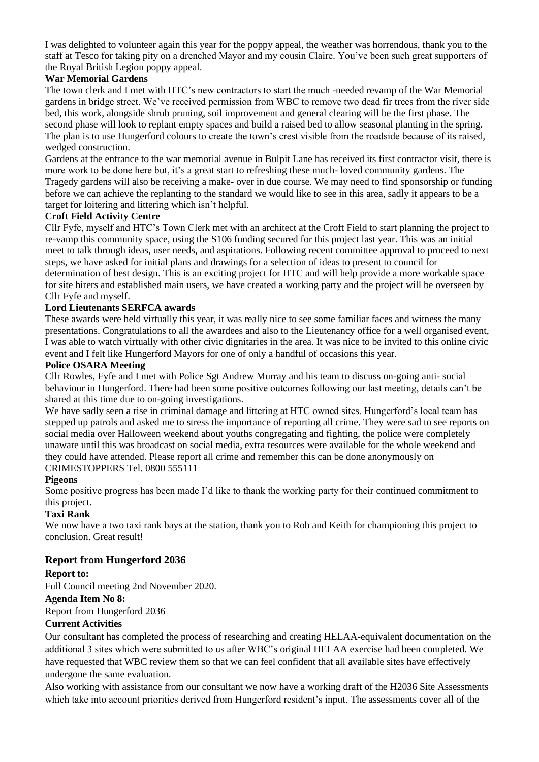I was delighted to volunteer again this year for the poppy appeal, the weather was horrendous, thank you to the staff at Tesco for taking pity on a drenched Mayor and my cousin Claire. You've been such great supporters of the Royal British Legion poppy appeal.

# **War Memorial Gardens**

The town clerk and I met with HTC's new contractors to start the much -needed revamp of the War Memorial gardens in bridge street. We've received permission from WBC to remove two dead fir trees from the river side bed, this work, alongside shrub pruning, soil improvement and general clearing will be the first phase. The second phase will look to replant empty spaces and build a raised bed to allow seasonal planting in the spring. The plan is to use Hungerford colours to create the town's crest visible from the roadside because of its raised, wedged construction.

Gardens at the entrance to the war memorial avenue in Bulpit Lane has received its first contractor visit, there is more work to be done here but, it's a great start to refreshing these much- loved community gardens. The Tragedy gardens will also be receiving a make- over in due course. We may need to find sponsorship or funding before we can achieve the replanting to the standard we would like to see in this area, sadly it appears to be a target for loitering and littering which isn't helpful.

# **Croft Field Activity Centre**

Cllr Fyfe, myself and HTC's Town Clerk met with an architect at the Croft Field to start planning the project to re-vamp this community space, using the S106 funding secured for this project last year. This was an initial meet to talk through ideas, user needs, and aspirations. Following recent committee approval to proceed to next steps, we have asked for initial plans and drawings for a selection of ideas to present to council for determination of best design. This is an exciting project for HTC and will help provide a more workable space for site hirers and established main users, we have created a working party and the project will be overseen by Cllr Fyfe and myself.

# **Lord Lieutenants SERFCA awards**

These awards were held virtually this year, it was really nice to see some familiar faces and witness the many presentations. Congratulations to all the awardees and also to the Lieutenancy office for a well organised event, I was able to watch virtually with other civic dignitaries in the area. It was nice to be invited to this online civic event and I felt like Hungerford Mayors for one of only a handful of occasions this year.

#### **Police OSARA Meeting**

Cllr Rowles, Fyfe and I met with Police Sgt Andrew Murray and his team to discuss on-going anti- social behaviour in Hungerford. There had been some positive outcomes following our last meeting, details can't be shared at this time due to on-going investigations.

We have sadly seen a rise in criminal damage and littering at HTC owned sites. Hungerford's local team has stepped up patrols and asked me to stress the importance of reporting all crime. They were sad to see reports on social media over Halloween weekend about youths congregating and fighting, the police were completely unaware until this was broadcast on social media, extra resources were available for the whole weekend and they could have attended. Please report all crime and remember this can be done anonymously on CRIMESTOPPERS Tel. 0800 555111

# **Pigeons**

Some positive progress has been made I'd like to thank the working party for their continued commitment to this project.

# **Taxi Rank**

We now have a two taxi rank bays at the station, thank you to Rob and Keith for championing this project to conclusion. Great result!

# **Report from Hungerford 2036**

# **Report to:**

Full Council meeting 2nd November 2020.

#### **Agenda Item No 8:**

Report from Hungerford 2036

#### **Current Activities**

Our consultant has completed the process of researching and creating HELAA-equivalent documentation on the additional 3 sites which were submitted to us after WBC's original HELAA exercise had been completed. We have requested that WBC review them so that we can feel confident that all available sites have effectively undergone the same evaluation.

Also working with assistance from our consultant we now have a working draft of the H2036 Site Assessments which take into account priorities derived from Hungerford resident's input. The assessments cover all of the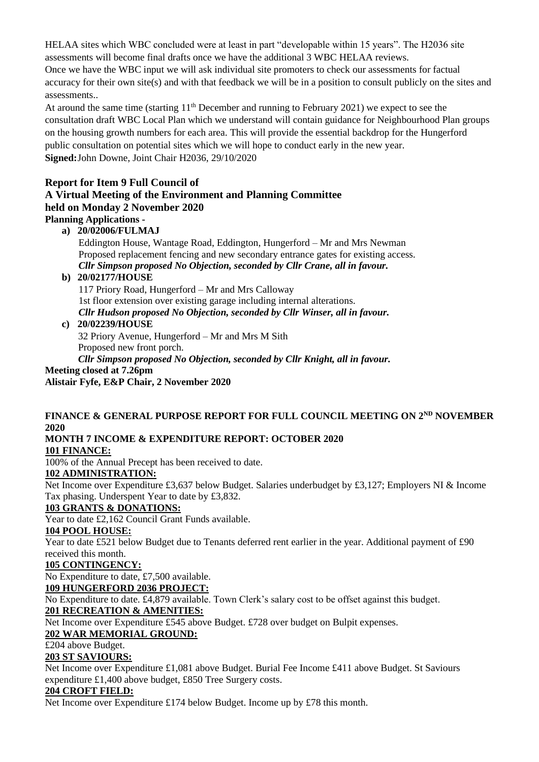HELAA sites which WBC concluded were at least in part "developable within 15 years". The H2036 site assessments will become final drafts once we have the additional 3 WBC HELAA reviews.

Once we have the WBC input we will ask individual site promoters to check our assessments for factual accuracy for their own site(s) and with that feedback we will be in a position to consult publicly on the sites and assessments..

At around the same time (starting  $11<sup>th</sup>$  December and running to February 2021) we expect to see the consultation draft WBC Local Plan which we understand will contain guidance for Neighbourhood Plan groups on the housing growth numbers for each area. This will provide the essential backdrop for the Hungerford public consultation on potential sites which we will hope to conduct early in the new year. **Signed:**John Downe, Joint Chair H2036, 29/10/2020

# **Report for Item 9 Full Council of A Virtual Meeting of the Environment and Planning Committee held on Monday 2 November 2020 Planning Applications -**

**a) 20/02006/FULMAJ**

Eddington House, Wantage Road, Eddington, Hungerford – Mr and Mrs Newman Proposed replacement fencing and new secondary entrance gates for existing access. *Cllr Simpson proposed No Objection, seconded by Cllr Crane, all in favour.*

# **b) 20/02177/HOUSE**

117 Priory Road, Hungerford – Mr and Mrs Calloway 1st floor extension over existing garage including internal alterations. *Cllr Hudson proposed No Objection, seconded by Cllr Winser, all in favour.*

# **c) 20/02239/HOUSE**

32 Priory Avenue, Hungerford – Mr and Mrs M Sith Proposed new front porch. *Cllr Simpson proposed No Objection, seconded by Cllr Knight, all in favour.* **Meeting closed at 7.26pm**

**Alistair Fyfe, E&P Chair, 2 November 2020**

# **FINANCE & GENERAL PURPOSE REPORT FOR FULL COUNCIL MEETING ON 2ND NOVEMBER 2020**

# **MONTH 7 INCOME & EXPENDITURE REPORT: OCTOBER 2020**

**101 FINANCE:**

100% of the Annual Precept has been received to date.

# **102 ADMINISTRATION:**

Net Income over Expenditure £3,637 below Budget. Salaries underbudget by £3,127; Employers NI & Income Tax phasing. Underspent Year to date by £3,832.

# **103 GRANTS & DONATIONS:**

Year to date £2,162 Council Grant Funds available.

# **104 POOL HOUSE:**

Year to date £521 below Budget due to Tenants deferred rent earlier in the year. Additional payment of £90 received this month.

# **105 CONTINGENCY:**

No Expenditure to date, £7,500 available.

# **109 HUNGERFORD 2036 PROJECT:**

No Expenditure to date. £4,879 available. Town Clerk's salary cost to be offset against this budget.

# **201 RECREATION & AMENITIES:**

Net Income over Expenditure £545 above Budget. £728 over budget on Bulpit expenses.

# **202 WAR MEMORIAL GROUND:**

£204 above Budget.

# **203 ST SAVIOURS:**

Net Income over Expenditure £1,081 above Budget. Burial Fee Income £411 above Budget. St Saviours expenditure £1,400 above budget, £850 Tree Surgery costs.

# **204 CROFT FIELD:**

Net Income over Expenditure £174 below Budget. Income up by £78 this month.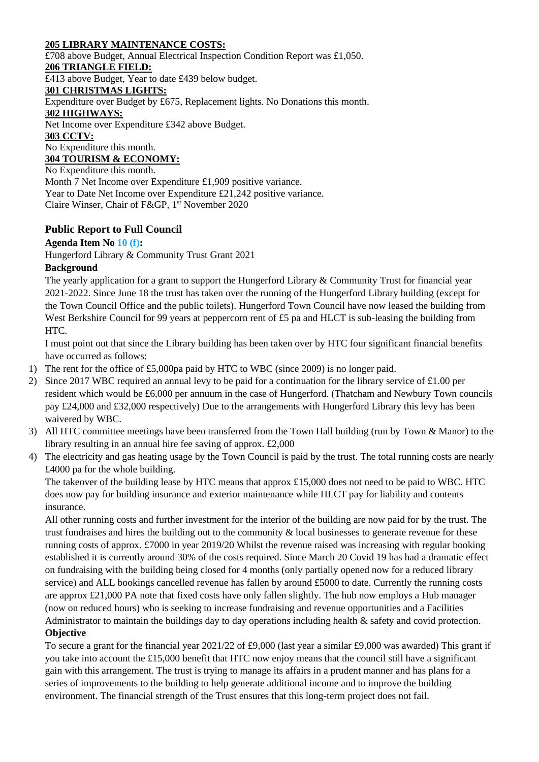# **205 LIBRARY MAINTENANCE COSTS:**

£708 above Budget, Annual Electrical Inspection Condition Report was £1,050. **206 TRIANGLE FIELD:** £413 above Budget, Year to date £439 below budget. **301 CHRISTMAS LIGHTS:** Expenditure over Budget by £675, Replacement lights. No Donations this month. **302 HIGHWAYS:** Net Income over Expenditure £342 above Budget. **303 CCTV:** No Expenditure this month. **304 TOURISM & ECONOMY:** No Expenditure this month. Month 7 Net Income over Expenditure £1,909 positive variance. Year to Date Net Income over Expenditure £21,242 positive variance.

Claire Winser, Chair of F&GP, 1st November 2020

# **Public Report to Full Council**

#### **Agenda Item No 10 (f):**

Hungerford Library & Community Trust Grant 2021

#### **Background**

The yearly application for a grant to support the Hungerford Library & Community Trust for financial year 2021-2022. Since June 18 the trust has taken over the running of the Hungerford Library building (except for the Town Council Office and the public toilets). Hungerford Town Council have now leased the building from West Berkshire Council for 99 years at peppercorn rent of £5 pa and HLCT is sub-leasing the building from HTC.

I must point out that since the Library building has been taken over by HTC four significant financial benefits have occurred as follows:

- 1) The rent for the office of £5,000pa paid by HTC to WBC (since 2009) is no longer paid.
- 2) Since 2017 WBC required an annual levy to be paid for a continuation for the library service of £1.00 per resident which would be £6,000 per annuum in the case of Hungerford. (Thatcham and Newbury Town councils pay £24,000 and £32,000 respectively) Due to the arrangements with Hungerford Library this levy has been waivered by WBC.
- 3) All HTC committee meetings have been transferred from the Town Hall building (run by Town & Manor) to the library resulting in an annual hire fee saving of approx. £2,000
- 4) The electricity and gas heating usage by the Town Council is paid by the trust. The total running costs are nearly £4000 pa for the whole building.

The takeover of the building lease by HTC means that approx £15,000 does not need to be paid to WBC. HTC does now pay for building insurance and exterior maintenance while HLCT pay for liability and contents insurance.

All other running costs and further investment for the interior of the building are now paid for by the trust. The trust fundraises and hires the building out to the community & local businesses to generate revenue for these running costs of approx. £7000 in year 2019/20 Whilst the revenue raised was increasing with regular booking established it is currently around 30% of the costs required. Since March 20 Covid 19 has had a dramatic effect on fundraising with the building being closed for 4 months (only partially opened now for a reduced library service) and ALL bookings cancelled revenue has fallen by around £5000 to date. Currently the running costs are approx £21,000 PA note that fixed costs have only fallen slightly. The hub now employs a Hub manager (now on reduced hours) who is seeking to increase fundraising and revenue opportunities and a Facilities Administrator to maintain the buildings day to day operations including health & safety and covid protection.

#### **Objective**

To secure a grant for the financial year 2021/22 of £9,000 (last year a similar £9,000 was awarded) This grant if you take into account the £15,000 benefit that HTC now enjoy means that the council still have a significant gain with this arrangement. The trust is trying to manage its affairs in a prudent manner and has plans for a series of improvements to the building to help generate additional income and to improve the building environment. The financial strength of the Trust ensures that this long-term project does not fail.